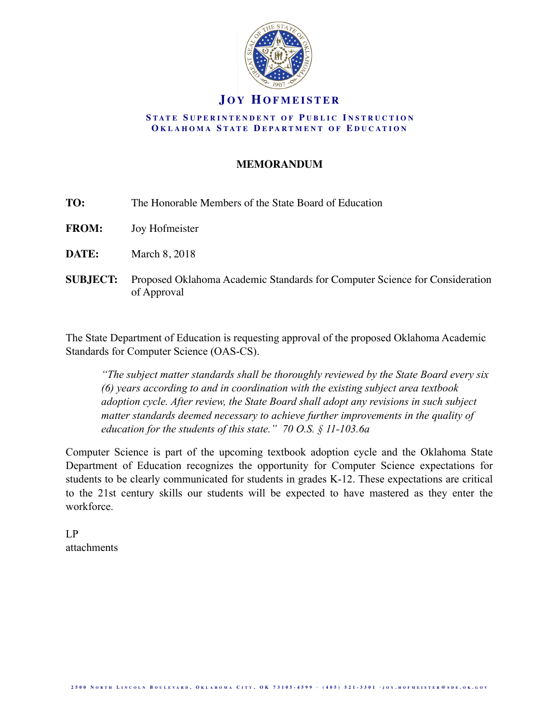

### **J O Y HOFMEISTER**

#### **S TATE S UPERINTENDENT O F P UBLIC I NSTRUCTION O KLAHOMA S TATE D EPARTMENT O F E DUCATION**

### **MEMORANDUM**

| TO: | The Honorable Members of the State Board of Education |
|-----|-------------------------------------------------------|
|     |                                                       |

**FROM:** Joy Hofmeister

**DATE:** March 8, 2018

**SUBJECT:** Proposed Oklahoma Academic Standards for Computer Science for Consideration of Approval

The State Department of Education is requesting approval of the proposed Oklahoma Academic Standards for Computer Science (OAS-CS).

*"The subject matter standards shall be thoroughly reviewed by the State Board every six (6) years according to and in coordination with the existing subject area textbook adoption cycle. After review, the State Board shall adopt any revisions in such subject matter standards deemed necessary to achieve further improvements in the quality of education for the students of this state." 70 O.S. § 11-103.6a* 

Computer Science is part of the upcoming textbook adoption cycle and the Oklahoma State Department of Education recognizes the opportunity for Computer Science expectations for students to be clearly communicated for students in grades K-12. These expectations are critical to the 21st century skills our students will be expected to have mastered as they enter the workforce.

LP attachments

2500 NORTH LINCOLN BOULEVARD, OKLAHOMA CITY, OK 73105-4599 · (405) 521-3301 · JOY.HOFMEISTER@SDE.OK.GOV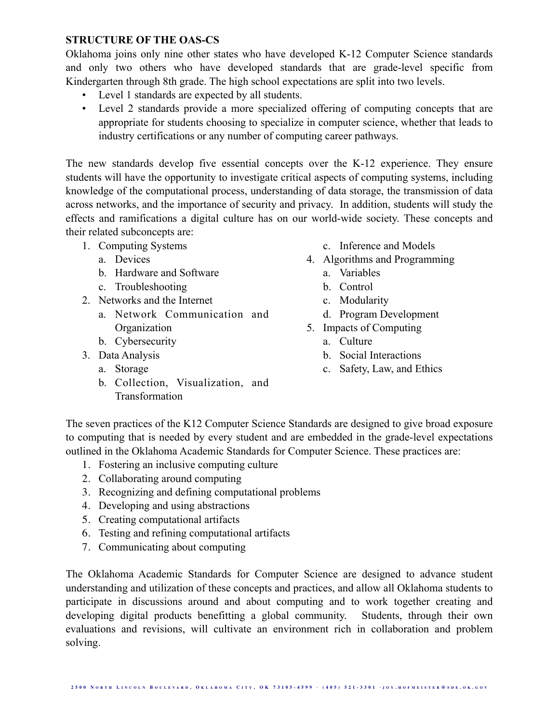### **STRUCTURE OF THE OAS-CS**

Oklahoma joins only nine other states who have developed K-12 Computer Science standards and only two others who have developed standards that are grade-level specific from Kindergarten through 8th grade. The high school expectations are split into two levels.

- Level 1 standards are expected by all students.
- Level 2 standards provide a more specialized offering of computing concepts that are appropriate for students choosing to specialize in computer science, whether that leads to industry certifications or any number of computing career pathways.

The new standards develop five essential concepts over the K-12 experience. They ensure students will have the opportunity to investigate critical aspects of computing systems, including knowledge of the computational process, understanding of data storage, the transmission of data across networks, and the importance of security and privacy. In addition, students will study the effects and ramifications a digital culture has on our world-wide society. These concepts and their related subconcepts are:

- 1. Computing Systems
	- a. Devices
	- b. Hardware and Software
	- c. Troubleshooting
- 2. Networks and the Internet
	- a. Network Communication and **Organization**
	- b. Cybersecurity
- 3. Data Analysis
	- a. Storage
	- b. Collection, Visualization, and Transformation
- c. Inference and Models
- 4. Algorithms and Programming
	- a. Variables
	- b. Control
	- c. Modularity
	- d. Program Development
- 5. Impacts of Computing
	- a. Culture
	- b. Social Interactions
	- c. Safety, Law, and Ethics

The seven practices of the K12 Computer Science Standards are designed to give broad exposure to computing that is needed by every student and are embedded in the grade-level expectations outlined in the Oklahoma Academic Standards for Computer Science. These practices are:

- 1. Fostering an inclusive computing culture
- 2. Collaborating around computing
- 3. Recognizing and defining computational problems
- 4. Developing and using abstractions
- 5. Creating computational artifacts
- 6. Testing and refining computational artifacts
- 7. Communicating about computing

The Oklahoma Academic Standards for Computer Science are designed to advance student understanding and utilization of these concepts and practices, and allow all Oklahoma students to participate in discussions around and about computing and to work together creating and developing digital products benefitting a global community. Students, through their own evaluations and revisions, will cultivate an environment rich in collaboration and problem solving.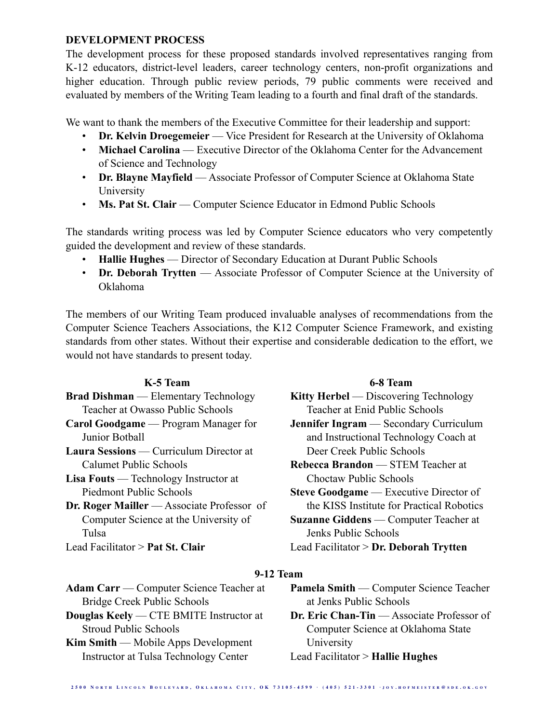### **DEVELOPMENT PROCESS**

The development process for these proposed standards involved representatives ranging from K-12 educators, district-level leaders, career technology centers, non-profit organizations and higher education. Through public review periods, 79 public comments were received and evaluated by members of the Writing Team leading to a fourth and final draft of the standards.

We want to thank the members of the Executive Committee for their leadership and support:

- **Dr. Kelvin Droegemeier** Vice President for Research at the University of Oklahoma
- **Michael Carolina** Executive Director of the Oklahoma Center for the Advancement of Science and Technology
- **Dr. Blayne Mayfield** Associate Professor of Computer Science at Oklahoma State University
- **Ms. Pat St. Clair** Computer Science Educator in Edmond Public Schools

The standards writing process was led by Computer Science educators who very competently guided the development and review of these standards.

- **Hallie Hughes** Director of Secondary Education at Durant Public Schools
- **Dr. Deborah Trytten** Associate Professor of Computer Science at the University of Oklahoma

The members of our Writing Team produced invaluable analyses of recommendations from the Computer Science Teachers Associations, the K12 Computer Science Framework, and existing standards from other states. Without their expertise and considerable dedication to the effort, we would not have standards to present today.

| K-5 Team                                          | 6-8 Team                                      |
|---------------------------------------------------|-----------------------------------------------|
| <b>Brad Dishman</b> — Elementary Technology       | Kitty Herbel — Discovering Technology         |
| Teacher at Owasso Public Schools                  | Teacher at Enid Public Schools                |
| <b>Carol Goodgame</b> — Program Manager for       | <b>Jennifer Ingram</b> — Secondary Curriculum |
| Junior Bothall                                    | and Instructional Technology Coach at         |
| <b>Laura Sessions</b> — Curriculum Director at    | Deer Creek Public Schools                     |
| Calumet Public Schools                            | <b>Rebecca Brandon</b> — STEM Teacher at      |
| <b>Lisa Fouts</b> — Technology Instructor at      | Choctaw Public Schools                        |
| Piedmont Public Schools                           | <b>Steve Goodgame</b> — Executive Director of |
| <b>Dr. Roger Mailler</b> — Associate Professor of | the KISS Institute for Practical Robotics     |
| Computer Science at the University of             | <b>Suzanne Giddens</b> — Computer Teacher at  |
| Tulsa                                             | Jenks Public Schools                          |
| Lead Facilitator $>$ Pat St. Clair                | Lead Facilitator $>$ Dr. Deborah Trytten      |

### **9-12 Team**

**Adam Carr** — Computer Science Teacher at Bridge Creek Public Schools

**Douglas Keely** — CTE BMITE Instructor at Stroud Public Schools

**Kim Smith** — Mobile Apps Development Instructor at Tulsa Technology Center

**Pamela Smith** — Computer Science Teacher at Jenks Public Schools

**Dr. Eric Chan-Tin** — Associate Professor of Computer Science at Oklahoma State University

Lead Facilitator > **Hallie Hughes**

2500 NORTH LINCOLN BOULEVARD, OKLAHOMA CITY, OK 73105-4599 · (405) 521-3301 · JOY.HOFMEISTER@SDE.OK.GOV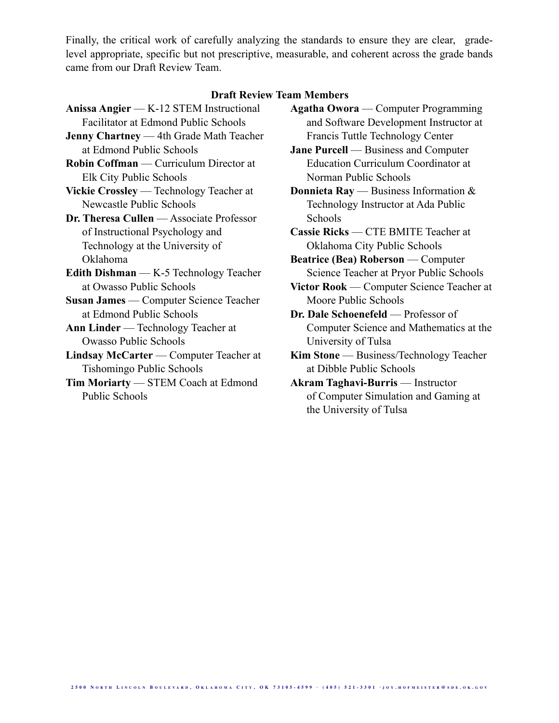Finally, the critical work of carefully analyzing the standards to ensure they are clear, gradelevel appropriate, specific but not prescriptive, measurable, and coherent across the grade bands came from our Draft Review Team.

#### **Draft Review Team Members**

- **Anissa Angier** K-12 STEM Instructional Facilitator at Edmond Public Schools
- **Jenny Chartney** 4th Grade Math Teacher at Edmond Public Schools
- **Robin Coffman** Curriculum Director at Elk City Public Schools
- **Vickie Crossley** Technology Teacher at Newcastle Public Schools
- **Dr. Theresa Cullen** Associate Professor of Instructional Psychology and Technology at the University of Oklahoma
- **Edith Dishman** K-5 Technology Teacher at Owasso Public Schools
- **Susan James** Computer Science Teacher at Edmond Public Schools
- **Ann Linder** Technology Teacher at Owasso Public Schools
- **Lindsay McCarter** Computer Teacher at Tishomingo Public Schools
- **Tim Moriarty** STEM Coach at Edmond Public Schools
- **Agatha Owora** Computer Programming and Software Development Instructor at Francis Tuttle Technology Center
- **Jane Purcell** Business and Computer Education Curriculum Coordinator at Norman Public Schools
- **Donnieta Ray** Business Information & Technology Instructor at Ada Public Schools
- **Cassie Ricks** CTE BMITE Teacher at Oklahoma City Public Schools
- **Beatrice (Bea) Roberson** Computer Science Teacher at Pryor Public Schools
- **Victor Rook** Computer Science Teacher at Moore Public Schools
- **Dr. Dale Schoenefeld** Professor of Computer Science and Mathematics at the University of Tulsa
- **Kim Stone** Business/Technology Teacher at Dibble Public Schools
- **Akram Taghavi-Burris** Instructor of Computer Simulation and Gaming at the University of Tulsa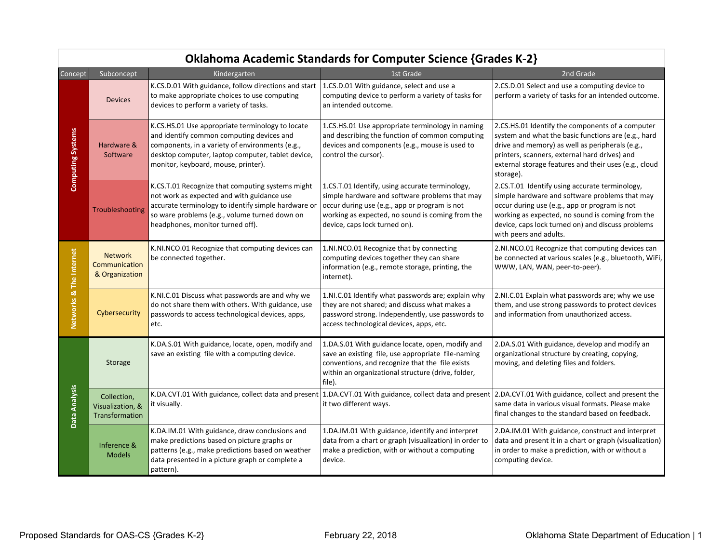|                          | Oklahoma Academic Standards for Computer Science {Grades K-2} |                                                                                                                                                                                                                                              |                                                                                                                                                                                                                                         |                                                                                                                                                                                                                                                                                      |  |
|--------------------------|---------------------------------------------------------------|----------------------------------------------------------------------------------------------------------------------------------------------------------------------------------------------------------------------------------------------|-----------------------------------------------------------------------------------------------------------------------------------------------------------------------------------------------------------------------------------------|--------------------------------------------------------------------------------------------------------------------------------------------------------------------------------------------------------------------------------------------------------------------------------------|--|
| Concept                  | Subconcept                                                    | Kindergarten                                                                                                                                                                                                                                 | 1st Grade                                                                                                                                                                                                                               | 2nd Grade                                                                                                                                                                                                                                                                            |  |
| <b>Computing Systems</b> | <b>Devices</b>                                                | K.CS.D.01 With guidance, follow directions and start<br>to make appropriate choices to use computing<br>devices to perform a variety of tasks.                                                                                               | 1.CS.D.01 With guidance, select and use a<br>computing device to perform a variety of tasks for<br>an intended outcome.                                                                                                                 | 2.CS.D.01 Select and use a computing device to<br>perform a variety of tasks for an intended outcome.                                                                                                                                                                                |  |
|                          | Hardware &<br>Software                                        | K.CS.HS.01 Use appropriate terminology to locate<br>and identify common computing devices and<br>components, in a variety of environments (e.g.,<br>desktop computer, laptop computer, tablet device,<br>monitor, keyboard, mouse, printer). | 1.CS.HS.01 Use appropriate terminology in naming<br>and describing the function of common computing<br>devices and components (e.g., mouse is used to<br>control the cursor).                                                           | 2.CS.HS.01 Identify the components of a computer<br>system and what the basic functions are (e.g., hard<br>drive and memory) as well as peripherals (e.g.,<br>printers, scanners, external hard drives) and<br>external storage features and their uses (e.g., cloud<br>storage).    |  |
|                          | Troubleshooting                                               | K.CS.T.01 Recognize that computing systems might<br>not work as expected and with guidance use<br>accurate terminology to identify simple hardware or<br>so ware problems (e.g., volume turned down on<br>headphones, monitor turned off).   | 1.CS.T.01 Identify, using accurate terminology,<br>simple hardware and software problems that may<br>occur during use (e.g., app or program is not<br>working as expected, no sound is coming from the<br>device, caps lock turned on). | 2.CS.T.01 Identify using accurate terminology,<br>simple hardware and software problems that may<br>occur during use (e.g., app or program is not<br>working as expected, no sound is coming from the<br>device, caps lock turned on) and discuss problems<br>with peers and adults. |  |
| Networks & The Internet  | <b>Network</b><br>Communication<br>& Organization             | K.NI.NCO.01 Recognize that computing devices can<br>be connected together.                                                                                                                                                                   | 1.NI.NCO.01 Recognize that by connecting<br>computing devices together they can share<br>information (e.g., remote storage, printing, the<br>internet).                                                                                 | 2.NI.NCO.01 Recognize that computing devices can<br>be connected at various scales (e.g., bluetooth, WiFi,<br>WWW, LAN, WAN, peer-to-peer).                                                                                                                                          |  |
|                          | Cybersecurity                                                 | K.NI.C.01 Discuss what passwords are and why we<br>do not share them with others. With guidance, use<br>passwords to access technological devices, apps,<br>etc.                                                                             | 1.NI.C.01 Identify what passwords are; explain why<br>they are not shared; and discuss what makes a<br>password strong. Independently, use passwords to<br>access technological devices, apps, etc.                                     | 2.NI.C.01 Explain what passwords are; why we use<br>them, and use strong passwords to protect devices<br>and information from unauthorized access.                                                                                                                                   |  |
|                          | Storage                                                       | K.DA.S.01 With guidance, locate, open, modify and<br>save an existing file with a computing device.                                                                                                                                          | 1.DA.S.01 With guidance locate, open, modify and<br>save an existing file, use appropriate file-naming<br>conventions, and recognize that the file exists<br>within an organizational structure (drive, folder,<br>file).               | 2.DA.S.01 With guidance, develop and modify an<br>organizational structure by creating, copying,<br>moving, and deleting files and folders.                                                                                                                                          |  |
| Data Analysis            | Collection,<br>Visualization, &<br>Transformation             | K.DA.CVT.01 With guidance, collect data and present<br>it visually.                                                                                                                                                                          | 1.DA.CVT.01 With guidance, collect data and present 2.DA.CVT.01 With guidance, collect and present the<br>it two different ways.                                                                                                        | same data in various visual formats. Please make<br>final changes to the standard based on feedback.                                                                                                                                                                                 |  |
|                          | Inference &<br><b>Models</b>                                  | K.DA.IM.01 With guidance, draw conclusions and<br>make predictions based on picture graphs or<br>patterns (e.g., make predictions based on weather<br>data presented in a picture graph or complete a<br>pattern).                           | 1.DA.IM.01 With guidance, identify and interpret<br>data from a chart or graph (visualization) in order to<br>make a prediction, with or without a computing<br>device.                                                                 | 2.DA.IM.01 With guidance, construct and interpret<br>data and present it in a chart or graph (visualization)<br>in order to make a prediction, with or without a<br>computing device.                                                                                                |  |

## Oklahoma Academic Standards for Computer Science {Grades K-2}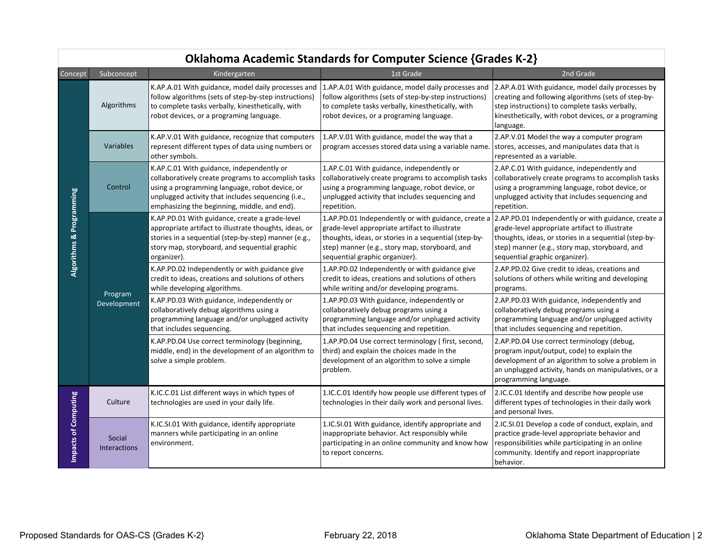|                          | ONIGHUMIG ACQUEMIIC Standards for Computer Science forages K-Z) |                                                                                                                                                                                                                                                          |                                                                                                                                                                                                                                                                                                        |                                                                                                                                                                                                                                 |  |
|--------------------------|-----------------------------------------------------------------|----------------------------------------------------------------------------------------------------------------------------------------------------------------------------------------------------------------------------------------------------------|--------------------------------------------------------------------------------------------------------------------------------------------------------------------------------------------------------------------------------------------------------------------------------------------------------|---------------------------------------------------------------------------------------------------------------------------------------------------------------------------------------------------------------------------------|--|
| Concept                  | Subconcept                                                      | Kindergarten                                                                                                                                                                                                                                             | 1st Grade                                                                                                                                                                                                                                                                                              | 2nd Grade                                                                                                                                                                                                                       |  |
| Algorithms & Programming | Algorithms                                                      | K.AP.A.01 With guidance, model daily processes and<br>follow algorithms (sets of step-by-step instructions)<br>to complete tasks verbally, kinesthetically, with<br>robot devices, or a programing language.                                             | 1.AP.A.01 With guidance, model daily processes and<br>follow algorithms (sets of step-by-step instructions)<br>to complete tasks verbally, kinesthetically, with<br>robot devices, or a programing language.                                                                                           | 2.AP.A.01 With guidance, model daily processes by<br>creating and following algorithms (sets of step-by-<br>step instructions) to complete tasks verbally,<br>kinesthetically, with robot devices, or a programing<br>language. |  |
|                          | Variables                                                       | K.AP.V.01 With guidance, recognize that computers<br>represent different types of data using numbers or<br>other symbols.                                                                                                                                | 1.AP.V.01 With guidance, model the way that a<br>program accesses stored data using a variable name.                                                                                                                                                                                                   | 2.AP.V.01 Model the way a computer program<br>stores, accesses, and manipulates data that is<br>represented as a variable.                                                                                                      |  |
|                          | Control                                                         | K.AP.C.01 With guidance, independently or<br>collaboratively create programs to accomplish tasks<br>using a programming language, robot device, or<br>unplugged activity that includes sequencing (i.e.,<br>emphasizing the beginning, middle, and end). | 1.AP.C.01 With guidance, independently or<br>collaboratively create programs to accomplish tasks<br>using a programming language, robot device, or<br>unplugged activity that includes sequencing and<br>repetition.                                                                                   | 2.AP.C.01 With guidance, independently and<br>collaboratively create programs to accomplish tasks<br>using a programming language, robot device, or<br>unplugged activity that includes sequencing and<br>repetition.           |  |
|                          | Program<br>Development                                          | K.AP.PD.01 With guidance, create a grade-level<br>appropriate artifact to illustrate thoughts, ideas, or<br>stories in a sequential (step-by-step) manner (e.g.,<br>story map, storyboard, and sequential graphic<br>organizer).                         | 1.AP.PD.01 Independently or with guidance, create a 2.AP.PD.01 Independently or with guidance, create a<br>grade-level appropriate artifact to illustrate<br>thoughts, ideas, or stories in a sequential (step-by-<br>step) manner (e.g., story map, storyboard, and<br>sequential graphic organizer). | grade-level appropriate artifact to illustrate<br>thoughts, ideas, or stories in a sequential (step-by-<br>step) manner (e.g., story map, storyboard, and<br>sequential graphic organizer).                                     |  |
|                          |                                                                 | K.AP.PD.02 Independently or with guidance give<br>credit to ideas, creations and solutions of others<br>while developing algorithms.                                                                                                                     | 1.AP.PD.02 Independently or with guidance give<br>credit to ideas, creations and solutions of others<br>while writing and/or developing programs.                                                                                                                                                      | 2.AP.PD.02 Give credit to ideas, creations and<br>solutions of others while writing and developing<br>programs.                                                                                                                 |  |
|                          |                                                                 | K.AP.PD.03 With guidance, independently or<br>collaboratively debug algorithms using a<br>programming language and/or unplugged activity<br>that includes sequencing.                                                                                    | 1.AP.PD.03 With guidance, independently or<br>collaboratively debug programs using a<br>programming language and/or unplugged activity<br>that includes sequencing and repetition.                                                                                                                     | 2.AP.PD.03 With guidance, independently and<br>collaboratively debug programs using a<br>programming language and/or unplugged activity<br>that includes sequencing and repetition.                                             |  |
|                          |                                                                 | K.AP.PD.04 Use correct terminology (beginning,<br>middle, end) in the development of an algorithm to<br>solve a simple problem.                                                                                                                          | 1.AP.PD.04 Use correct terminology (first, second,<br>third) and explain the choices made in the<br>development of an algorithm to solve a simple<br>problem.                                                                                                                                          | 2.AP.PD.04 Use correct terminology (debug,<br>program input/output, code) to explain the<br>development of an algorithm to solve a problem in<br>an unplugged activity, hands on manipulatives, or a<br>programming language.   |  |
| Impacts of Computing     | Culture                                                         | K.IC.C.01 List different ways in which types of<br>technologies are used in your daily life.                                                                                                                                                             | 1.IC.C.01 Identify how people use different types of<br>technologies in their daily work and personal lives.                                                                                                                                                                                           | 2.IC.C.01 Identify and describe how people use<br>different types of technologies in their daily work<br>and personal lives.                                                                                                    |  |
|                          | Social<br><b>Interactions</b>                                   | K.IC.SI.01 With guidance, identify appropriate<br>manners while participating in an online<br>environment.                                                                                                                                               | 1.IC.SI.01 With guidance, identify appropriate and<br>inappropriate behavior. Act responsibly while<br>participating in an online community and know how<br>to report concerns.                                                                                                                        | 2.IC.SI.01 Develop a code of conduct, explain, and<br>practice grade-level appropriate behavior and<br>responsibilities while participating in an online<br>community. Identify and report inappropriate<br>behavior.           |  |

## Oklahoma Academic Standards for Computer Science {Grades K-2}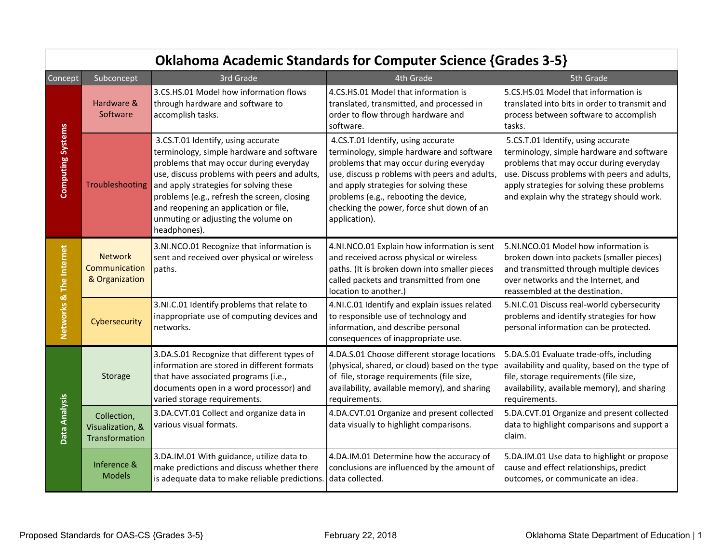|                          | <b>Oklahoma Academic Standards for Computer Science {Grades 3-5}</b> |                                                                                                                                                                                                                                                                                                                                                                     |                                                                                                                                                                                                                                                                                                                              |                                                                                                                                                                                                                                                                        |  |
|--------------------------|----------------------------------------------------------------------|---------------------------------------------------------------------------------------------------------------------------------------------------------------------------------------------------------------------------------------------------------------------------------------------------------------------------------------------------------------------|------------------------------------------------------------------------------------------------------------------------------------------------------------------------------------------------------------------------------------------------------------------------------------------------------------------------------|------------------------------------------------------------------------------------------------------------------------------------------------------------------------------------------------------------------------------------------------------------------------|--|
| <b>Concept</b>           | Subconcept                                                           | 3rd Grade                                                                                                                                                                                                                                                                                                                                                           | 4th Grade                                                                                                                                                                                                                                                                                                                    | 5th Grade                                                                                                                                                                                                                                                              |  |
| <b>Computing Systems</b> | Hardware &<br>Software                                               | 3.CS.HS.01 Model how information flows<br>through hardware and software to<br>accomplish tasks.                                                                                                                                                                                                                                                                     | 4.CS.HS.01 Model that information is<br>translated, transmitted, and processed in<br>order to flow through hardware and<br>software.                                                                                                                                                                                         | 5.CS.HS.01 Model that information is<br>translated into bits in order to transmit and<br>process between software to accomplish<br>tasks.                                                                                                                              |  |
|                          | Troubleshooting                                                      | 3.CS.T.01 Identify, using accurate<br>terminology, simple hardware and software<br>problems that may occur during everyday<br>use, discuss problems with peers and adults,<br>and apply strategies for solving these<br>problems (e.g., refresh the screen, closing<br>and reopening an application or file,<br>unmuting or adjusting the volume on<br>headphones). | 4.CS.T.01 Identify, using accurate<br>terminology, simple hardware and software<br>problems that may occur during everyday<br>use, discuss p roblems with peers and adults,<br>and apply strategies for solving these<br>problems (e.g., rebooting the device,<br>checking the power, force shut down of an<br>application). | 5.CS.T.01 Identify, using accurate<br>terminology, simple hardware and software<br>problems that may occur during everyday<br>use. Discuss problems with peers and adults,<br>apply strategies for solving these problems<br>and explain why the strategy should work. |  |
| Networks & The Internet  | <b>Network</b><br>Communication<br>& Organization                    | 3.NI.NCO.01 Recognize that information is<br>sent and received over physical or wireless<br>paths.                                                                                                                                                                                                                                                                  | 4.NI.NCO.01 Explain how information is sent<br>and received across physical or wireless<br>paths. (It is broken down into smaller pieces<br>called packets and transmitted from one<br>location to another.)                                                                                                                 | 5.NI.NCO.01 Model how information is<br>broken down into packets (smaller pieces)<br>and transmitted through multiple devices<br>over networks and the Internet, and<br>reassembled at the destination.                                                                |  |
|                          | Cybersecurity                                                        | 3.NI.C.01 Identify problems that relate to<br>inappropriate use of computing devices and<br>networks.                                                                                                                                                                                                                                                               | 4.NI.C.01 Identify and explain issues related<br>to responsible use of technology and<br>information, and describe personal<br>consequences of inappropriate use.                                                                                                                                                            | 5.NI.C.01 Discuss real-world cybersecurity<br>problems and identify strategies for how<br>personal information can be protected.                                                                                                                                       |  |
| Data Analysis            | Storage                                                              | 3.DA.S.01 Recognize that different types of<br>information are stored in different formats<br>that have associated programs (i.e.,<br>documents open in a word processor) and<br>varied storage requirements.                                                                                                                                                       | 4.DA.S.01 Choose different storage locations<br>(physical, shared, or cloud) based on the type<br>of file, storage requirements (file size,<br>availability, available memory), and sharing<br>requirements.                                                                                                                 | 5.DA.S.01 Evaluate trade-offs, including<br>availability and quality, based on the type of<br>file, storage requirements (file size,<br>availability, available memory), and sharing<br>requirements.                                                                  |  |
|                          | Collection,<br>Visualization, &<br>Transformation                    | 3.DA.CVT.01 Collect and organize data in<br>various visual formats.                                                                                                                                                                                                                                                                                                 | 4.DA.CVT.01 Organize and present collected<br>data visually to highlight comparisons.                                                                                                                                                                                                                                        | 5.DA.CVT.01 Organize and present collected<br>data to highlight comparisons and support a<br>claim.                                                                                                                                                                    |  |
|                          | Inference &<br><b>Models</b>                                         | 3.DA.IM.01 With guidance, utilize data to<br>make predictions and discuss whether there<br>is adequate data to make reliable predictions.                                                                                                                                                                                                                           | 4.DA.IM.01 Determine how the accuracy of<br>conclusions are influenced by the amount of<br>data collected.                                                                                                                                                                                                                   | 5.DA.IM.01 Use data to highlight or propose<br>cause and effect relationships, predict<br>outcomes, or communicate an idea.                                                                                                                                            |  |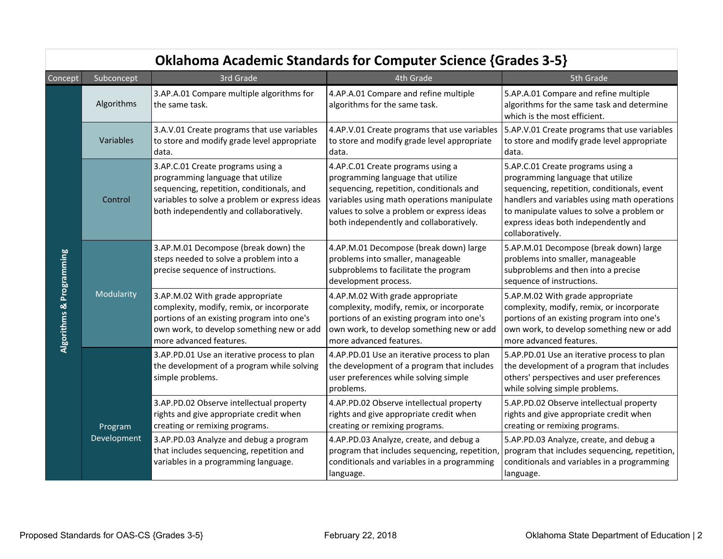|                          | <b>Oklahoma Academic Standards for Computer Science {Grades 3-5}</b> |                                                                                                                                                                                                                 |                                                                                                                                                                                                                                                           |                                                                                                                                                                                                                                                                                 |
|--------------------------|----------------------------------------------------------------------|-----------------------------------------------------------------------------------------------------------------------------------------------------------------------------------------------------------------|-----------------------------------------------------------------------------------------------------------------------------------------------------------------------------------------------------------------------------------------------------------|---------------------------------------------------------------------------------------------------------------------------------------------------------------------------------------------------------------------------------------------------------------------------------|
| Concept                  | Subconcept                                                           | 3rd Grade                                                                                                                                                                                                       | 4th Grade                                                                                                                                                                                                                                                 | 5th Grade                                                                                                                                                                                                                                                                       |
| Algorithms & Programming | Algorithms                                                           | 3.AP.A.01 Compare multiple algorithms for<br>the same task.                                                                                                                                                     | 4.AP.A.01 Compare and refine multiple<br>algorithms for the same task.                                                                                                                                                                                    | 5.AP.A.01 Compare and refine multiple<br>algorithms for the same task and determine<br>which is the most efficient.                                                                                                                                                             |
|                          | Variables                                                            | 3.A.V.01 Create programs that use variables<br>to store and modify grade level appropriate<br>data.                                                                                                             | 4.AP.V.01 Create programs that use variables<br>to store and modify grade level appropriate<br>data.                                                                                                                                                      | 5.AP.V.01 Create programs that use variables<br>to store and modify grade level appropriate<br>data.                                                                                                                                                                            |
|                          | Control                                                              | 3.AP.C.01 Create programs using a<br>programming language that utilize<br>sequencing, repetition, conditionals, and<br>variables to solve a problem or express ideas<br>both independently and collaboratively. | 4.AP.C.01 Create programs using a<br>programming language that utilize<br>sequencing, repetition, conditionals and<br>variables using math operations manipulate<br>values to solve a problem or express ideas<br>both independently and collaboratively. | 5.AP.C.01 Create programs using a<br>programming language that utilize<br>sequencing, repetition, conditionals, event<br>handlers and variables using math operations<br>to manipulate values to solve a problem or<br>express ideas both independently and<br>collaboratively. |
|                          |                                                                      | 3.AP.M.01 Decompose (break down) the<br>steps needed to solve a problem into a<br>precise sequence of instructions.                                                                                             | 4.AP.M.01 Decompose (break down) large<br>problems into smaller, manageable<br>subproblems to facilitate the program<br>development process.                                                                                                              | 5.AP.M.01 Decompose (break down) large<br>problems into smaller, manageable<br>subproblems and then into a precise<br>sequence of instructions.                                                                                                                                 |
|                          | Modularity                                                           | 3.AP.M.02 With grade appropriate<br>complexity, modify, remix, or incorporate<br>portions of an existing program into one's<br>own work, to develop something new or add<br>more advanced features.             | 4.AP.M.02 With grade appropriate<br>complexity, modify, remix, or incorporate<br>portions of an existing program into one's<br>own work, to develop something new or add<br>more advanced features.                                                       | 5.AP.M.02 With grade appropriate<br>complexity, modify, remix, or incorporate<br>portions of an existing program into one's<br>own work, to develop something new or add<br>more advanced features.                                                                             |
|                          |                                                                      | 3.AP.PD.01 Use an iterative process to plan<br>the development of a program while solving<br>simple problems.                                                                                                   | 4.AP.PD.01 Use an iterative process to plan<br>the development of a program that includes<br>user preferences while solving simple<br>problems.                                                                                                           | 5.AP.PD.01 Use an iterative process to plan<br>the development of a program that includes<br>others' perspectives and user preferences<br>while solving simple problems.                                                                                                        |
|                          | Program                                                              | 3.AP.PD.02 Observe intellectual property<br>rights and give appropriate credit when<br>creating or remixing programs.                                                                                           | 4.AP.PD.02 Observe intellectual property<br>rights and give appropriate credit when<br>creating or remixing programs.                                                                                                                                     | 5.AP.PD.02 Observe intellectual property<br>rights and give appropriate credit when<br>creating or remixing programs.                                                                                                                                                           |
|                          | Development                                                          | 3.AP.PD.03 Analyze and debug a program<br>that includes sequencing, repetition and<br>variables in a programming language.                                                                                      | 4.AP.PD.03 Analyze, create, and debug a<br>program that includes sequencing, repetition,<br>conditionals and variables in a programming<br>language.                                                                                                      | 5.AP.PD.03 Analyze, create, and debug a<br>program that includes sequencing, repetition,<br>conditionals and variables in a programming<br>language.                                                                                                                            |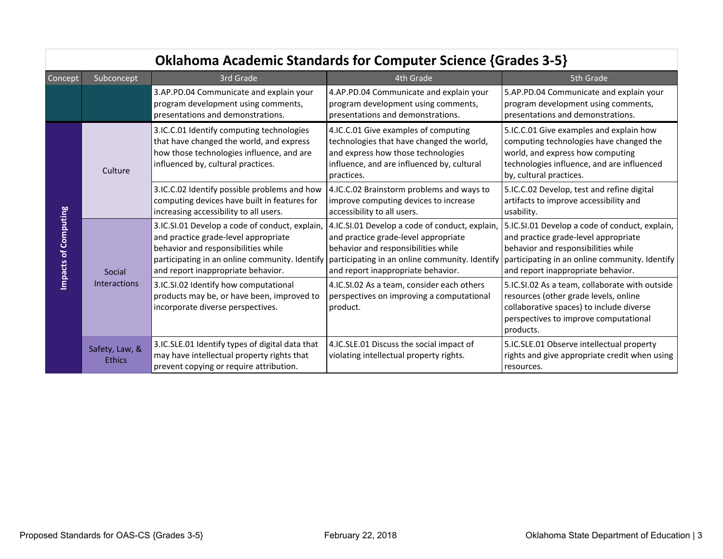|                                     |                                 |                                                                                                                                                                          | <b>Oklahoma Academic Standards for Computer Science {Grades 3-5}</b>                                                                                                                                                                                                 |                                                                                                                                                                                                                       |
|-------------------------------------|---------------------------------|--------------------------------------------------------------------------------------------------------------------------------------------------------------------------|----------------------------------------------------------------------------------------------------------------------------------------------------------------------------------------------------------------------------------------------------------------------|-----------------------------------------------------------------------------------------------------------------------------------------------------------------------------------------------------------------------|
| Concept                             | Subconcept                      | 3rd Grade                                                                                                                                                                | 4th Grade                                                                                                                                                                                                                                                            | 5th Grade                                                                                                                                                                                                             |
|                                     |                                 | 3.AP.PD.04 Communicate and explain your<br>program development using comments,<br>presentations and demonstrations.                                                      | 4.AP.PD.04 Communicate and explain your<br>program development using comments,<br>presentations and demonstrations.                                                                                                                                                  | 5.AP.PD.04 Communicate and explain your<br>program development using comments,<br>presentations and demonstrations.                                                                                                   |
|                                     | Culture                         | 3.IC.C.01 Identify computing technologies<br>that have changed the world, and express<br>how those technologies influence, and are<br>influenced by, cultural practices. | 4.IC.C.01 Give examples of computing<br>technologies that have changed the world,<br>and express how those technologies<br>influence, and are influenced by, cultural<br>practices.                                                                                  | 5.IC.C.01 Give examples and explain how<br>computing technologies have changed the<br>world, and express how computing<br>technologies influence, and are influenced<br>by, cultural practices.                       |
|                                     |                                 | 3.IC.C.02 Identify possible problems and how<br>computing devices have built in features for<br>increasing accessibility to all users.                                   | 4.IC.C.02 Brainstorm problems and ways to<br>improve computing devices to increase<br>accessibility to all users.                                                                                                                                                    | 5.IC.C.02 Develop, test and refine digital<br>artifacts to improve accessibility and<br>usability.                                                                                                                    |
| of Computing<br><b>یہ</b><br>Impact | Social                          | 3.IC.SI.01 Develop a code of conduct, explain,<br>and practice grade-level appropriate<br>behavior and responsibilities while<br>and report inappropriate behavior.      | 4.IC.SI.01 Develop a code of conduct, explain,<br>and practice grade-level appropriate<br>behavior and responsibilities while<br>participating in an online community. Identify participating in an online community. Identify<br>and report inappropriate behavior. | 5.IC.SI.01 Develop a code of conduct, explain,<br>and practice grade-level appropriate<br>behavior and responsibilities while<br>participating in an online community. Identify<br>and report inappropriate behavior. |
|                                     | Interactions                    | 3.IC.SI.02 Identify how computational<br>products may be, or have been, improved to<br>incorporate diverse perspectives.                                                 | 4.IC.SI.02 As a team, consider each others<br>perspectives on improving a computational<br>product.                                                                                                                                                                  | 5.IC.SI.02 As a team, collaborate with outside<br>resources (other grade levels, online<br>collaborative spaces) to include diverse<br>perspectives to improve computational<br>products.                             |
|                                     | Safety, Law, &<br><b>Ethics</b> | 3.IC.SLE.01 Identify types of digital data that<br>may have intellectual property rights that<br>prevent copying or require attribution.                                 | 4.IC.SLE.01 Discuss the social impact of<br>violating intellectual property rights.                                                                                                                                                                                  | 5.IC.SLE.01 Observe intellectual property<br>rights and give appropriate credit when using<br>resources.                                                                                                              |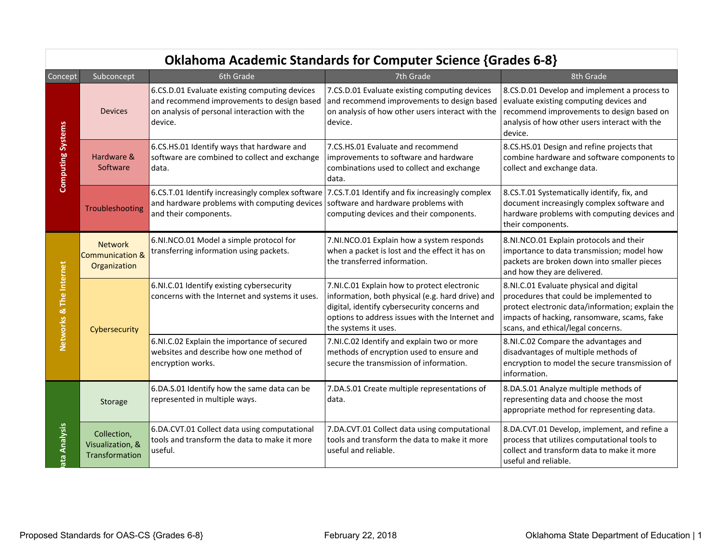|                          | Oklahoma Academic Standards for Computer Science {Grades 6-8} |                                                                                                                                                        |                                                                                                                                                                                                                            |                                                                                                                                                                                                                             |  |
|--------------------------|---------------------------------------------------------------|--------------------------------------------------------------------------------------------------------------------------------------------------------|----------------------------------------------------------------------------------------------------------------------------------------------------------------------------------------------------------------------------|-----------------------------------------------------------------------------------------------------------------------------------------------------------------------------------------------------------------------------|--|
| Concept                  | Subconcept                                                    | 6th Grade                                                                                                                                              | 7th Grade                                                                                                                                                                                                                  | 8th Grade                                                                                                                                                                                                                   |  |
| <b>Computing Systems</b> | <b>Devices</b>                                                | 6.CS.D.01 Evaluate existing computing devices<br>and recommend improvements to design based<br>on analysis of personal interaction with the<br>device. | 7.CS.D.01 Evaluate existing computing devices<br>and recommend improvements to design based<br>on analysis of how other users interact with the<br>device.                                                                 | 8.CS.D.01 Develop and implement a process to<br>evaluate existing computing devices and<br>recommend improvements to design based on<br>analysis of how other users interact with the<br>device.                            |  |
|                          | Hardware &<br>Software                                        | 6.CS.HS.01 Identify ways that hardware and<br>software are combined to collect and exchange<br>data.                                                   | 7.CS.HS.01 Evaluate and recommend<br>improvements to software and hardware<br>combinations used to collect and exchange<br>data.                                                                                           | 8.CS.HS.01 Design and refine projects that<br>combine hardware and software components to<br>collect and exchange data.                                                                                                     |  |
|                          | Troubleshooting                                               | 6.CS.T.01 Identify increasingly complex software<br>and hardware problems with computing devices<br>and their components.                              | 7.CS.T.01 Identify and fix increasingly complex<br>software and hardware problems with<br>computing devices and their components.                                                                                          | 8.CS.T.01 Systematically identify, fix, and<br>document increasingly complex software and<br>hardware problems with computing devices and<br>their components.                                                              |  |
| Networks & The Internet  | <b>Network</b><br><b>Communication &amp;</b><br>Organization  | 6.NI.NCO.01 Model a simple protocol for<br>transferring information using packets.                                                                     | 7.NI.NCO.01 Explain how a system responds<br>when a packet is lost and the effect it has on<br>the transferred information.                                                                                                | 8.NI.NCO.01 Explain protocols and their<br>importance to data transmission; model how<br>packets are broken down into smaller pieces<br>and how they are delivered.                                                         |  |
|                          | Cybersecurity                                                 | 6.NI.C.01 Identify existing cybersecurity<br>concerns with the Internet and systems it uses.                                                           | 7.NI.C.01 Explain how to protect electronic<br>information, both physical (e.g. hard drive) and<br>digital, identify cybersecurity concerns and<br>options to address issues with the Internet and<br>the systems it uses. | 8.NI.C.01 Evaluate physical and digital<br>procedures that could be implemented to<br>protect electronic data/information; explain the<br>impacts of hacking, ransomware, scams, fake<br>scans, and ethical/legal concerns. |  |
|                          |                                                               | 6.NI.C.02 Explain the importance of secured<br>websites and describe how one method of<br>encryption works.                                            | 7.NI.C.02 Identify and explain two or more<br>methods of encryption used to ensure and<br>secure the transmission of information.                                                                                          | 8.NI.C.02 Compare the advantages and<br>disadvantages of multiple methods of<br>encryption to model the secure transmission of<br>information.                                                                              |  |
| ata Analysis             | Storage                                                       | 6.DA.S.01 Identify how the same data can be<br>represented in multiple ways.                                                                           | 7.DA.S.01 Create multiple representations of<br>data.                                                                                                                                                                      | 8.DA.S.01 Analyze multiple methods of<br>representing data and choose the most<br>appropriate method for representing data.                                                                                                 |  |
|                          | Collection,<br>Visualization, &<br>Transformation             | 6.DA.CVT.01 Collect data using computational<br>tools and transform the data to make it more<br>useful.                                                | 7.DA.CVT.01 Collect data using computational<br>tools and transform the data to make it more<br>useful and reliable.                                                                                                       | 8.DA.CVT.01 Develop, implement, and refine a<br>process that utilizes computational tools to<br>collect and transform data to make it more<br>useful and reliable.                                                          |  |

# Oklahoma Academic Standards for Computer Science {Grades 6-8}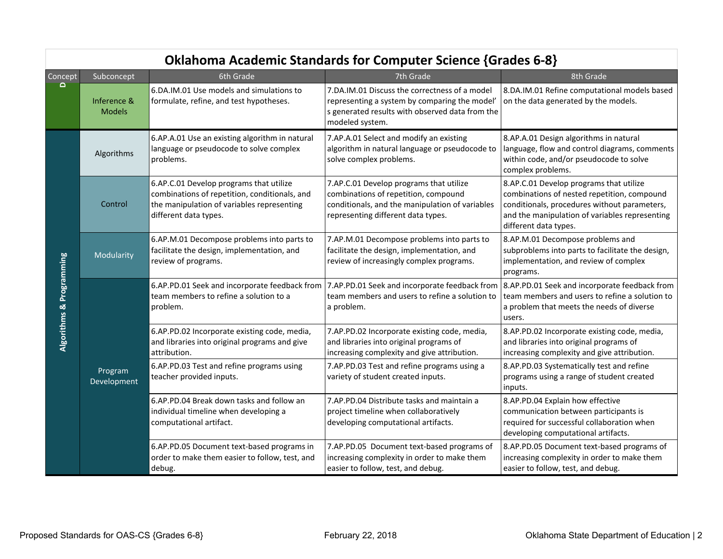|                          | <b>Oklahoma Academic Standards for Computer Science {Grades 6-8}</b> |                                                                                                                                                                 |                                                                                                                                                                          |                                                                                                                                                                                                                   |  |
|--------------------------|----------------------------------------------------------------------|-----------------------------------------------------------------------------------------------------------------------------------------------------------------|--------------------------------------------------------------------------------------------------------------------------------------------------------------------------|-------------------------------------------------------------------------------------------------------------------------------------------------------------------------------------------------------------------|--|
| Concept                  | Subconcept                                                           | 6th Grade                                                                                                                                                       | 7th Grade                                                                                                                                                                | 8th Grade                                                                                                                                                                                                         |  |
| $\overline{\mathbf{C}}$  | Inference &<br><b>Models</b>                                         | 6.DA.IM.01 Use models and simulations to<br>formulate, refine, and test hypotheses.                                                                             | 7.DA.IM.01 Discuss the correctness of a model<br>representing a system by comparing the model'<br>s generated results with observed data from the<br>modeled system.     | 8.DA.IM.01 Refine computational models based<br>on the data generated by the models.                                                                                                                              |  |
| Algorithms & Programming | Algorithms                                                           | 6.AP.A.01 Use an existing algorithm in natural<br>language or pseudocode to solve complex<br>problems.                                                          | 7.AP.A.01 Select and modify an existing<br>algorithm in natural language or pseudocode to<br>solve complex problems.                                                     | 8.AP.A.01 Design algorithms in natural<br>language, flow and control diagrams, comments<br>within code, and/or pseudocode to solve<br>complex problems.                                                           |  |
|                          | Control                                                              | 6.AP.C.01 Develop programs that utilize<br>combinations of repetition, conditionals, and<br>the manipulation of variables representing<br>different data types. | 7.AP.C.01 Develop programs that utilize<br>combinations of repetition, compound<br>conditionals, and the manipulation of variables<br>representing different data types. | 8.AP.C.01 Develop programs that utilize<br>combinations of nested repetition, compound<br>conditionals, procedures without parameters,<br>and the manipulation of variables representing<br>different data types. |  |
|                          | Modularity                                                           | 6.AP.M.01 Decompose problems into parts to<br>facilitate the design, implementation, and<br>review of programs.                                                 | 7.AP.M.01 Decompose problems into parts to<br>facilitate the design, implementation, and<br>review of increasingly complex programs.                                     | 8.AP.M.01 Decompose problems and<br>subproblems into parts to facilitate the design,<br>implementation, and review of complex<br>programs.                                                                        |  |
|                          |                                                                      | 6.AP.PD.01 Seek and incorporate feedback from<br>team members to refine a solution to a<br>problem.                                                             | 7.AP.PD.01 Seek and incorporate feedback from<br>team members and users to refine a solution to<br>a problem.                                                            | 8.AP.PD.01 Seek and incorporate feedback from<br>team members and users to refine a solution to<br>a problem that meets the needs of diverse<br>users.                                                            |  |
|                          |                                                                      | 6.AP.PD.02 Incorporate existing code, media,<br>and libraries into original programs and give<br>attribution.                                                   | 7.AP.PD.02 Incorporate existing code, media,<br>and libraries into original programs of<br>increasing complexity and give attribution.                                   | 8.AP.PD.02 Incorporate existing code, media,<br>and libraries into original programs of<br>increasing complexity and give attribution.                                                                            |  |
|                          | Program<br>Development                                               | 6.AP.PD.03 Test and refine programs using<br>teacher provided inputs.                                                                                           | 7.AP.PD.03 Test and refine programs using a<br>variety of student created inputs.                                                                                        | 8.AP.PD.03 Systematically test and refine<br>programs using a range of student created<br>inputs.                                                                                                                 |  |
|                          |                                                                      | 6.AP.PD.04 Break down tasks and follow an<br>individual timeline when developing a<br>computational artifact.                                                   | 7.AP.PD.04 Distribute tasks and maintain a<br>project timeline when collaboratively<br>developing computational artifacts.                                               | 8.AP.PD.04 Explain how effective<br>communication between participants is<br>required for successful collaboration when<br>developing computational artifacts.                                                    |  |
|                          |                                                                      | 6.AP.PD.05 Document text-based programs in<br>order to make them easier to follow, test, and<br>debug.                                                          | 7.AP.PD.05 Document text-based programs of<br>increasing complexity in order to make them<br>easier to follow, test, and debug.                                          | 8.AP.PD.05 Document text-based programs of<br>increasing complexity in order to make them<br>easier to follow, test, and debug.                                                                                   |  |

## Oklahoma Academic Standards for Computer Science {Grades 6-8}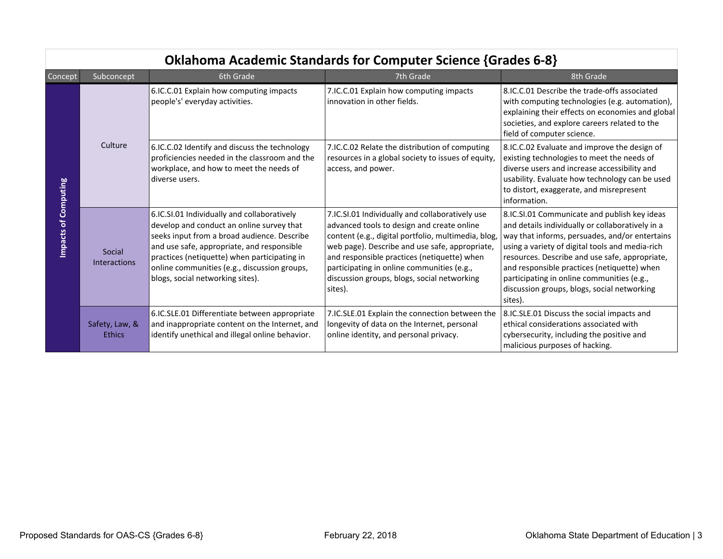|                             | ONIGHUITIG ACQUEITIIC SCAHUGHUS TUI CUITIDULEI SCIETICE FOFGUES 0-07 |                                                                                                                                                                                                                                                                                                                           |                                                                                                                                                                                                                                                                                                                                                               |                                                                                                                                                                                                                                                                                                                                                                                                                |  |
|-----------------------------|----------------------------------------------------------------------|---------------------------------------------------------------------------------------------------------------------------------------------------------------------------------------------------------------------------------------------------------------------------------------------------------------------------|---------------------------------------------------------------------------------------------------------------------------------------------------------------------------------------------------------------------------------------------------------------------------------------------------------------------------------------------------------------|----------------------------------------------------------------------------------------------------------------------------------------------------------------------------------------------------------------------------------------------------------------------------------------------------------------------------------------------------------------------------------------------------------------|--|
| Concept                     | Subconcept                                                           | 6th Grade                                                                                                                                                                                                                                                                                                                 | 7th Grade                                                                                                                                                                                                                                                                                                                                                     | 8th Grade                                                                                                                                                                                                                                                                                                                                                                                                      |  |
| <b>Impacts of Computing</b> |                                                                      | 6.IC.C.01 Explain how computing impacts<br>people's' everyday activities.                                                                                                                                                                                                                                                 | 7.IC.C.01 Explain how computing impacts<br>innovation in other fields.                                                                                                                                                                                                                                                                                        | 8.IC.C.01 Describe the trade-offs associated<br>with computing technologies (e.g. automation),<br>explaining their effects on economies and global<br>societies, and explore careers related to the<br>field of computer science.                                                                                                                                                                              |  |
|                             | Culture                                                              | 6.IC.C.02 Identify and discuss the technology<br>proficiencies needed in the classroom and the<br>workplace, and how to meet the needs of<br>diverse users.                                                                                                                                                               | 7.IC.C.02 Relate the distribution of computing<br>resources in a global society to issues of equity,<br>access, and power.                                                                                                                                                                                                                                    | 8.IC.C.02 Evaluate and improve the design of<br>existing technologies to meet the needs of<br>diverse users and increase accessibility and<br>usability. Evaluate how technology can be used<br>to distort, exaggerate, and misrepresent<br>information.                                                                                                                                                       |  |
|                             | Social<br><b>Interactions</b>                                        | 6.IC.SI.01 Individually and collaboratively<br>develop and conduct an online survey that<br>seeks input from a broad audience. Describe<br>and use safe, appropriate, and responsible<br>practices (netiquette) when participating in<br>online communities (e.g., discussion groups,<br>blogs, social networking sites). | 7.IC.SI.01 Individually and collaboratively use<br>advanced tools to design and create online<br>content (e.g., digital portfolio, multimedia, blog,<br>web page). Describe and use safe, appropriate,<br>and responsible practices (netiquette) when<br>participating in online communities (e.g.,<br>discussion groups, blogs, social networking<br>sites). | 8.IC.SI.01 Communicate and publish key ideas<br>and details individually or collaboratively in a<br>way that informs, persuades, and/or entertains<br>using a variety of digital tools and media-rich<br>resources. Describe and use safe, appropriate,<br>and responsible practices (netiquette) when<br>participating in online communities (e.g.,<br>discussion groups, blogs, social networking<br>sites). |  |
|                             | Safety, Law, &<br><b>Ethics</b>                                      | 6.IC.SLE.01 Differentiate between appropriate<br>and inappropriate content on the Internet, and<br>identify unethical and illegal online behavior.                                                                                                                                                                        | 7.IC.SLE.01 Explain the connection between the<br>longevity of data on the Internet, personal<br>online identity, and personal privacy.                                                                                                                                                                                                                       | 8.IC.SLE.01 Discuss the social impacts and<br>ethical considerations associated with<br>cybersecurity, including the positive and<br>malicious purposes of hacking.                                                                                                                                                                                                                                            |  |

# Oklahoma Academic Standards for Computer Science {Grades 6-8}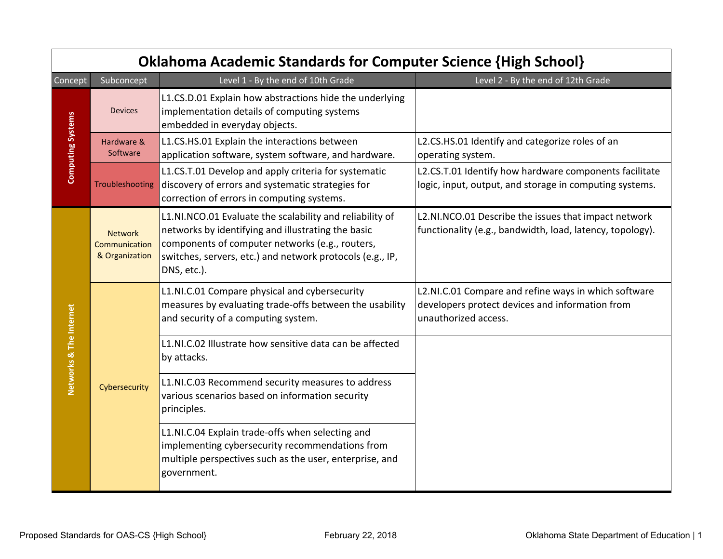|                          | <b>Oklahoma Academic Standards for Computer Science {High School}</b> |                                                                                                                                                                                                                                               |                                                                                                                                 |  |  |
|--------------------------|-----------------------------------------------------------------------|-----------------------------------------------------------------------------------------------------------------------------------------------------------------------------------------------------------------------------------------------|---------------------------------------------------------------------------------------------------------------------------------|--|--|
| Concept                  | Subconcept                                                            | Level 1 - By the end of 10th Grade                                                                                                                                                                                                            | Level 2 - By the end of 12th Grade                                                                                              |  |  |
| <b>Computing Systems</b> | <b>Devices</b>                                                        | L1.CS.D.01 Explain how abstractions hide the underlying<br>implementation details of computing systems<br>embedded in everyday objects.                                                                                                       |                                                                                                                                 |  |  |
|                          | Hardware &<br>Software                                                | L1.CS.HS.01 Explain the interactions between<br>application software, system software, and hardware.                                                                                                                                          | L2.CS.HS.01 Identify and categorize roles of an<br>operating system.                                                            |  |  |
|                          | Troubleshooting                                                       | L1.CS.T.01 Develop and apply criteria for systematic<br>discovery of errors and systematic strategies for<br>correction of errors in computing systems.                                                                                       | L2.CS.T.01 Identify how hardware components facilitate<br>logic, input, output, and storage in computing systems.               |  |  |
|                          | <b>Network</b><br>Communication<br>& Organization                     | L1.NI.NCO.01 Evaluate the scalability and reliability of<br>networks by identifying and illustrating the basic<br>components of computer networks (e.g., routers,<br>switches, servers, etc.) and network protocols (e.g., IP,<br>DNS, etc.). | L2.NI.NCO.01 Describe the issues that impact network<br>functionality (e.g., bandwidth, load, latency, topology).               |  |  |
|                          |                                                                       | L1.NI.C.01 Compare physical and cybersecurity<br>measures by evaluating trade-offs between the usability<br>and security of a computing system.                                                                                               | L2.NI.C.01 Compare and refine ways in which software<br>developers protect devices and information from<br>unauthorized access. |  |  |
| Networks & The Internet  |                                                                       | L1.NI.C.02 Illustrate how sensitive data can be affected<br>by attacks.                                                                                                                                                                       |                                                                                                                                 |  |  |
|                          | Cybersecurity                                                         | L1.NI.C.03 Recommend security measures to address<br>various scenarios based on information security<br>principles.                                                                                                                           |                                                                                                                                 |  |  |
|                          |                                                                       | L1.NI.C.04 Explain trade-offs when selecting and<br>implementing cybersecurity recommendations from<br>multiple perspectives such as the user, enterprise, and<br>government.                                                                 |                                                                                                                                 |  |  |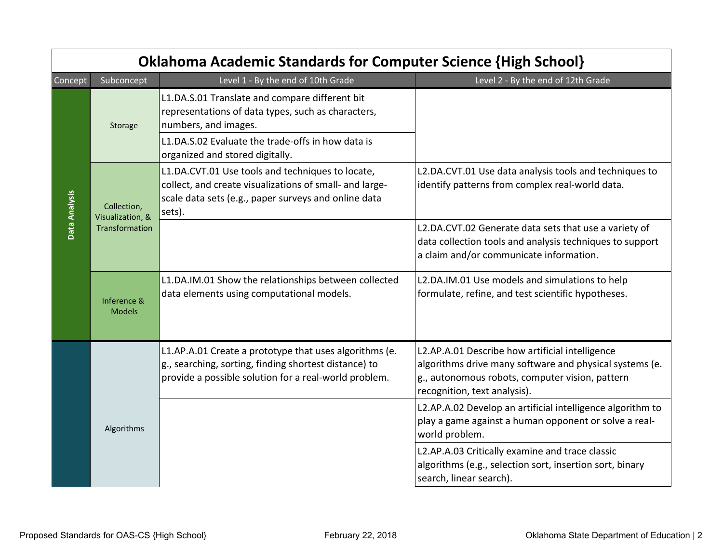|               | <b>Oklahoma Academic Standards for Computer Science {High School}</b> |                                                                                                                                                                                                                      |                                                                                                                                                                                               |  |  |
|---------------|-----------------------------------------------------------------------|----------------------------------------------------------------------------------------------------------------------------------------------------------------------------------------------------------------------|-----------------------------------------------------------------------------------------------------------------------------------------------------------------------------------------------|--|--|
| Concept       | Subconcept                                                            | Level 1 - By the end of 10th Grade                                                                                                                                                                                   | Level 2 - By the end of 12th Grade                                                                                                                                                            |  |  |
|               | Storage                                                               | L1.DA.S.01 Translate and compare different bit<br>representations of data types, such as characters,<br>numbers, and images.<br>L1.DA.S.02 Evaluate the trade-offs in how data is<br>organized and stored digitally. |                                                                                                                                                                                               |  |  |
| Data Analysis | Collection,<br>Visualization, &<br>Transformation                     | L1.DA.CVT.01 Use tools and techniques to locate,<br>collect, and create visualizations of small- and large-<br>scale data sets (e.g., paper surveys and online data<br>sets).                                        | L2.DA.CVT.01 Use data analysis tools and techniques to<br>identify patterns from complex real-world data.                                                                                     |  |  |
|               |                                                                       |                                                                                                                                                                                                                      | L2.DA.CVT.02 Generate data sets that use a variety of<br>data collection tools and analysis techniques to support<br>a claim and/or communicate information.                                  |  |  |
|               | Inference &<br><b>Models</b>                                          | L1.DA.IM.01 Show the relationships between collected<br>data elements using computational models.                                                                                                                    | L2.DA.IM.01 Use models and simulations to help<br>formulate, refine, and test scientific hypotheses.                                                                                          |  |  |
|               |                                                                       | L1.AP.A.01 Create a prototype that uses algorithms (e.<br>g., searching, sorting, finding shortest distance) to<br>provide a possible solution for a real-world problem.                                             | L2.AP.A.01 Describe how artificial intelligence<br>algorithms drive many software and physical systems (e.<br>g., autonomous robots, computer vision, pattern<br>recognition, text analysis). |  |  |
|               | Algorithms                                                            |                                                                                                                                                                                                                      | L2.AP.A.02 Develop an artificial intelligence algorithm to<br>play a game against a human opponent or solve a real-<br>world problem.                                                         |  |  |
|               |                                                                       |                                                                                                                                                                                                                      | L2.AP.A.03 Critically examine and trace classic<br>algorithms (e.g., selection sort, insertion sort, binary<br>search, linear search).                                                        |  |  |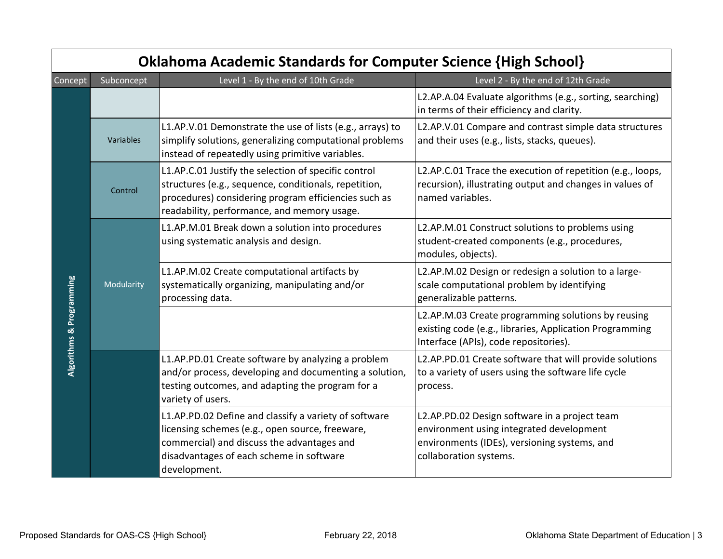| <b>Oklahoma Academic Standards for Computer Science {High School}</b> |            |                                                                                                                                                                                                                      |                                                                                                                                                                     |  |  |
|-----------------------------------------------------------------------|------------|----------------------------------------------------------------------------------------------------------------------------------------------------------------------------------------------------------------------|---------------------------------------------------------------------------------------------------------------------------------------------------------------------|--|--|
| Concept                                                               | Subconcept | Level 1 - By the end of 10th Grade                                                                                                                                                                                   | Level 2 - By the end of 12th Grade                                                                                                                                  |  |  |
| <b>Algorithms &amp; Programming</b>                                   |            |                                                                                                                                                                                                                      | L2.AP.A.04 Evaluate algorithms (e.g., sorting, searching)<br>in terms of their efficiency and clarity.                                                              |  |  |
|                                                                       | Variables  | L1.AP.V.01 Demonstrate the use of lists (e.g., arrays) to<br>simplify solutions, generalizing computational problems<br>instead of repeatedly using primitive variables.                                             | L2.AP.V.01 Compare and contrast simple data structures<br>and their uses (e.g., lists, stacks, queues).                                                             |  |  |
|                                                                       | Control    | L1.AP.C.01 Justify the selection of specific control<br>structures (e.g., sequence, conditionals, repetition,<br>procedures) considering program efficiencies such as<br>readability, performance, and memory usage. | L2.AP.C.01 Trace the execution of repetition (e.g., loops,<br>recursion), illustrating output and changes in values of<br>named variables.                          |  |  |
|                                                                       | Modularity | L1.AP.M.01 Break down a solution into procedures<br>using systematic analysis and design.                                                                                                                            | L2.AP.M.01 Construct solutions to problems using<br>student-created components (e.g., procedures,<br>modules, objects).                                             |  |  |
|                                                                       |            | L1.AP.M.02 Create computational artifacts by<br>systematically organizing, manipulating and/or<br>processing data.                                                                                                   | L2.AP.M.02 Design or redesign a solution to a large-<br>scale computational problem by identifying<br>generalizable patterns.                                       |  |  |
|                                                                       |            |                                                                                                                                                                                                                      | L2.AP.M.03 Create programming solutions by reusing<br>existing code (e.g., libraries, Application Programming<br>Interface (APIs), code repositories).              |  |  |
|                                                                       |            | L1.AP.PD.01 Create software by analyzing a problem<br>and/or process, developing and documenting a solution,<br>testing outcomes, and adapting the program for a<br>variety of users.                                | L2.AP.PD.01 Create software that will provide solutions<br>to a variety of users using the software life cycle<br>process.                                          |  |  |
|                                                                       |            | L1.AP.PD.02 Define and classify a variety of software<br>licensing schemes (e.g., open source, freeware,<br>commercial) and discuss the advantages and<br>disadvantages of each scheme in software<br>development.   | L2.AP.PD.02 Design software in a project team<br>environment using integrated development<br>environments (IDEs), versioning systems, and<br>collaboration systems. |  |  |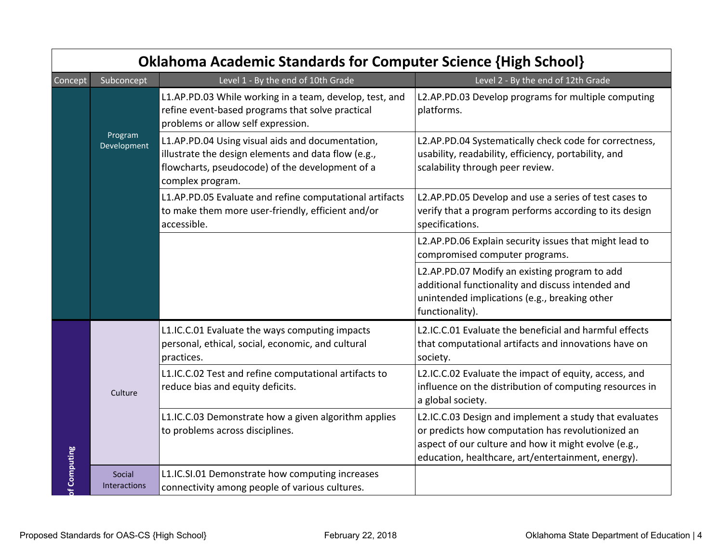|              |                        | <b>Oklahoma Academic Standards for Computer Science {High School}</b>                                                                                                          |                                                                                                                                                                                                                           |
|--------------|------------------------|--------------------------------------------------------------------------------------------------------------------------------------------------------------------------------|---------------------------------------------------------------------------------------------------------------------------------------------------------------------------------------------------------------------------|
| Concept      | Subconcept             | Level 1 - By the end of 10th Grade                                                                                                                                             | Level 2 - By the end of 12th Grade                                                                                                                                                                                        |
|              | Program<br>Development | L1.AP.PD.03 While working in a team, develop, test, and<br>refine event-based programs that solve practical<br>problems or allow self expression.                              | L2.AP.PD.03 Develop programs for multiple computing<br>platforms.                                                                                                                                                         |
|              |                        | L1.AP.PD.04 Using visual aids and documentation,<br>illustrate the design elements and data flow (e.g.,<br>flowcharts, pseudocode) of the development of a<br>complex program. | L2.AP.PD.04 Systematically check code for correctness,<br>usability, readability, efficiency, portability, and<br>scalability through peer review.                                                                        |
|              |                        | L1.AP.PD.05 Evaluate and refine computational artifacts<br>to make them more user-friendly, efficient and/or<br>accessible.                                                    | L2.AP.PD.05 Develop and use a series of test cases to<br>verify that a program performs according to its design<br>specifications.                                                                                        |
|              |                        |                                                                                                                                                                                | L2.AP.PD.06 Explain security issues that might lead to<br>compromised computer programs.                                                                                                                                  |
|              |                        |                                                                                                                                                                                | L2.AP.PD.07 Modify an existing program to add<br>additional functionality and discuss intended and<br>unintended implications (e.g., breaking other<br>functionality).                                                    |
| of Computing | Culture                | L1.IC.C.01 Evaluate the ways computing impacts<br>personal, ethical, social, economic, and cultural<br>practices.                                                              | L2.IC.C.01 Evaluate the beneficial and harmful effects<br>that computational artifacts and innovations have on<br>society.                                                                                                |
|              |                        | L1.IC.C.02 Test and refine computational artifacts to<br>reduce bias and equity deficits.                                                                                      | L2.IC.C.02 Evaluate the impact of equity, access, and<br>influence on the distribution of computing resources in<br>a global society.                                                                                     |
|              |                        | L1.IC.C.03 Demonstrate how a given algorithm applies<br>to problems across disciplines.                                                                                        | L2.IC.C.03 Design and implement a study that evaluates<br>or predicts how computation has revolutionized an<br>aspect of our culture and how it might evolve (e.g.,<br>education, healthcare, art/entertainment, energy). |
|              | Social<br>Interactions | L1.IC.SI.01 Demonstrate how computing increases<br>connectivity among people of various cultures.                                                                              |                                                                                                                                                                                                                           |